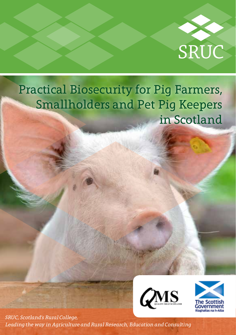

# Practical Biosecurity for Pig Farmers, Smallholders and Pet Pig Keepers in Scotland





*SRUC, Scotland's Rural College, Leading the way in Agriculture and Rural Research, Education and Consulting*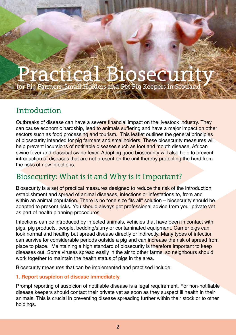# Practical Biosecurity for Pig Farmers, Small Holders and Pet Pig Keepers in Scotland

# Introduction

Outbreaks of disease can have a severe financial impact on the livestock industry. They can cause economic hardship, lead to animals suffering and have a major impact on other sectors such as food processing and tourism. This leaflet outlines the general principles of biosecurity intended for pig farmers and smallholders. These biosecurity measures will help prevent incursions of notifiable diseases such as foot and mouth disease. African swine fever and classical swine fever. Adopting good biosecurity will also help to prevent introduction of diseases that are not present on the unit thereby protecting the herd from the risks of new infections.

# Biosecurity: What is it and Why is it Important?

Biosecurity is a set of practical measures designed to reduce the risk of the introduction, establishment and spread of animal diseases, infections or infestations to, from and within an animal population. There is no "one size fits all" solution – biosecurity should be adapted to present risks. You should always get professional advice from your private vet as part of health planning procedures.

Infections can be introduced by infected animals, vehicles that have been in contact with pigs, pig products, people, bedding/slurry or contaminated equipment. Carrier pigs can look normal and healthy but spread disease directly or indirectly. Many types of infection can survive for considerable periods outside a pig and can increase the risk of spread from place to place. Maintaining a high standard of biosecurity is therefore important to keep diseases out. Some viruses spread easily in the air to other farms, so neighbours should work together to maintain the health status of pigs in the area.

Biosecurity measures that can be implemented and practised include:

#### **1. Report suspicion of disease immediately**

Prompt reporting of suspicion of notifiable disease is a legal requirement. For non-notifiable disease keepers should contact their private vet as soon as they suspect ill health in their animals. This is crucial in preventing disease spreading further within their stock or to other holdings.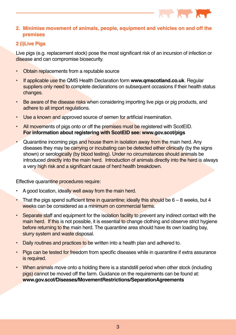

#### **2. Minimise movement of animals, people, equipment and vehicles on and off the premises**

#### **2 (i)Live Pigs**

Live pigs (e.g. replacement stock) pose the most significant risk of an incursion of infection or disease and can compromise biosecurity.

- Obtain replacements from a reputable source
- If applicable use the QMS Health Declaration form **www.qmscotland.co.uk**. Regular suppliers only need to complete declarations on subsequent occasions if their health status changes.
- **Be aware of the disease risks when considering importing live pigs or pig products, and** adhere to all import regulations.
- Use a known and approved source of semen for artificial insemination.
- All movements of pigs onto or off the premises must be registered with ScotEID. **For information about registering with ScotEID see: www.gov.scot/pigs**
- Quarantine incoming pigs and house them in isolation away from the main herd. Any diseases they may be carrying or incubating can be detected either clinically (by the signs shown) or serologically (by blood testing). Under no circumstances should animals be introduced directly into the main herd. Introduction of animals directly into the herd is always a very high risk and a significant cause of herd health breakdown.

Effective quarantine procedures require:

- A good location, ideally well away from the main herd.
- That the pigs spend sufficient time in quarantine; ideally this should be  $6 8$  weeks, but 4 weeks can be considered as a minimum on commercial farms.
- Separate staff and equipment for the isolation facility to prevent any indirect contact with the main herd. If this is not possible, it is essential to change clothing and observe strict hygiene before returning to the main herd. The quarantine area should have its own loading bay, slurry system and waste disposal.
- Daily routines and practices to be written into a health plan and adhered to.
- Pigs can be tested for freedom from specific diseases while in quarantine if extra assurance is required.
- When animals move onto a holding there is a standstill period when other stock (including pigs) cannot be moved off the farm. Guidance on the requirements can be found at: **www.gov.scot/Diseases/MovementRestrictions/SeparationAgreements**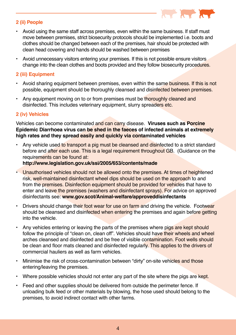

#### **2 (ii) People**

- Avoid using the same staff across premises, even within the same business. If staff must move between premises, strict biosecurity protocols should be implemented i.e. boots and clothes should be changed between each of the premises, hair should be protected with clean head covering and hands should be washed between premises
- Avoid unnecessary visitors entering your premises. If this is not possible ensure visitors change into the clean clothes and boots provided and they follow biosecurity procedures.

#### **2 (iii) Equipment**

- Avoid sharing equipment between premises, even within the same business. If this is not possible, equipment should be thoroughly cleansed and disinfected between premises.
- Any equipment moving on to or from premises must be thoroughly cleaned and disinfected. This includes veterinary equipment, slurry spreaders etc.

#### **2 (iv) Vehicles**

Vehicles can become contaminated and can carry disease. **Viruses such as Porcine Epidemic Diarrhoea virus can be shed in the faeces of infected animals at extremely high rates and they spread easily and quickly via contaminated vehicles**

• Any vehicle used to transport a pig must be cleansed and disinfected to a strict standard before and after each use. This is a legal requirement throughout GB. (Guidance on the requirements can be found at:

**http://www.legislation.gov.uk/ssi/2005/653/contents/made**

- Unauthorised vehicles should not be allowed onto the premises. At times of heightened risk, well-maintained disinfectant wheel dips should be used on the approach to and from the premises. Disinfection equipment should be provided for vehicles that have to enter and leave the premises (washers and disinfectant sprays). For advice on approved disinfectants see: **www.gov.scot/Animal-welfare/approveddisinfectants**
- Drivers should change their foot wear for use on farm and driving the vehicle. Footwear should be cleansed and disinfected when entering the premises and again before getting into the vehicle.
- Any vehicles entering or leaving the parts of the premises where pigs are kept should follow the principle of "clean on, clean off". Vehicles should have their wheels and wheel arches cleansed and disinfected and be free of visible contamination. Foot wells should be clean and floor mats cleaned and disinfected regularly. This applies to the drivers of commercial hauliers as well as farm vehicles.
- Minimise the risk of cross-contamination between "dirty" on-site vehicles and those entering/leaving the premises.
- Where possible vehicles should not enter any part of the site where the pigs are kept.
- Feed and other supplies should be delivered from outside the perimeter fence. If unloading bulk feed or other materials by blowing, the hose used should belong to the premises, to avoid indirect contact with other farms.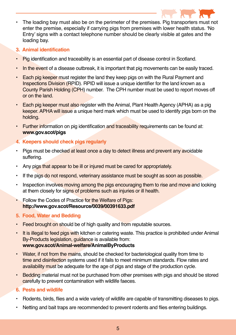

- The loading bay must also be on the perimeter of the premises. Pig transporters must not enter the premise, especially if carrying pigs from premises with lower health status. 'No Entry' signs with a contact telephone number should be clearly visible at gates and the loading bay.
- **3. Animal identification**
- Pig identification and traceability is an essential part of disease control in Scotland.
- In the event of a disease outbreak, it is important that pig movements can be easily traced.
- Each pig keeper must register the land they keep pigs on with the Rural Payment and Inspections Division (RPID). RPID will issue a unique identifier for the land known as a County Parish Holding (CPH) number. The CPH number must be used to report moves off or on the land.
- Each pig keeper must also register with the Animal, Plant Health Agency (APHA) as a pig keeper. APHA will issue a unique herd mark which must be used to identify pigs born on the holding.
- Further information on pig identification and traceability requirements can be found at: **www.gov.scot/pigs**
- **4. Keepers should check pigs regularly**
- Pigs must be checked at least once a day to detect illness and prevent any avoidable suffering.
- Any pigs that appear to be ill or injured must be cared for appropriately.
- If the pigs do not respond, veterinary assistance must be sought as soon as possible.
- Inspection involves moving among the pigs encouraging them to rise and move and looking at them closely for signs of problems such as injuries or ill health.
- Follow the Codes of Practice for the Welfare of Pigs: **http://www.gov.scot/Resource/0039/00391633.pdf**
- **5. Food, Water and Bedding**
- Feed brought on should be of high quality and from reputable sources.
- It is illegal to feed pigs with kitchen or catering waste. This practice is prohibited under Animal By-Products legislation, guidance is available from: **www.gov.scot/Animal-welfare/AnimalByProducts**
- Water, if not from the mains, should be checked for bacteriological quality from time to time and disinfection systems used if it fails to meet minimum standards. Flow rates and availability must be adequate for the age of pigs and stage of the production cycle.
- Bedding material must not be purchased from other premises with pigs and should be stored carefully to prevent contamination with wildlife faeces.

#### **6. Pests and wildlife**

- Rodents, birds, flies and a wide variety of wildlife are capable of transmitting diseases to pigs.
- Netting and bait traps are recommended to prevent rodents and flies entering buildings.